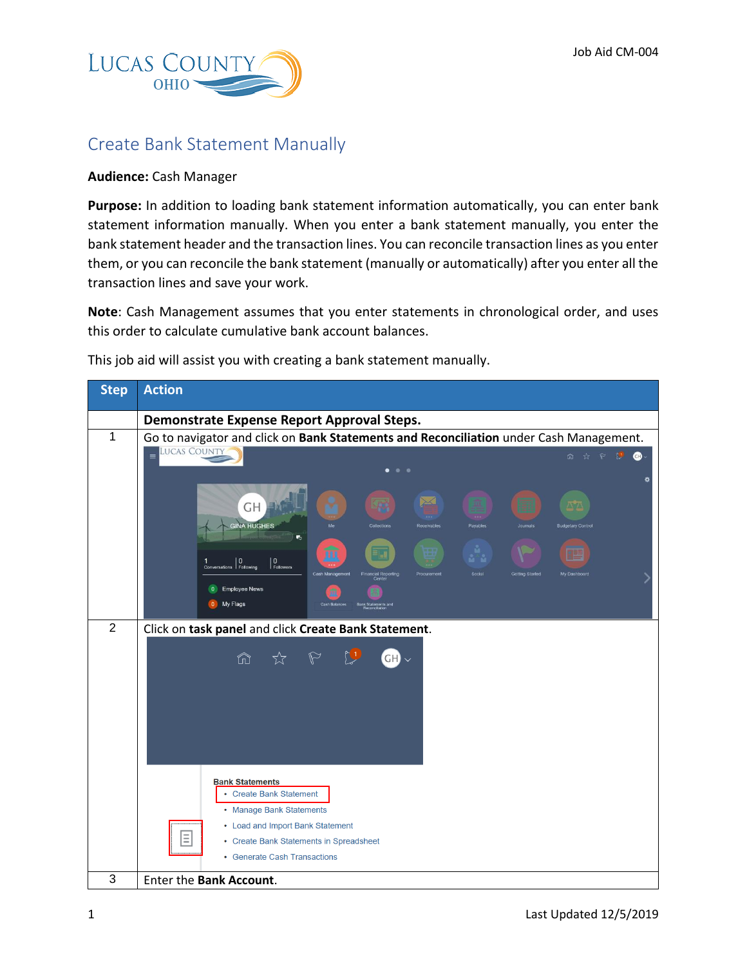

## Create Bank Statement Manually

## **Audience:** Cash Manager

**Purpose:** In addition to loading bank statement information automatically, you can enter bank statement information manually. When you enter a bank statement manually, you enter the bank statement header and the transaction lines. You can reconcile transaction lines as you enter them, or you can reconcile the bank statement (manually or automatically) after you enter all the transaction lines and save your work.

**Note**: Cash Management assumes that you enter statements in chronological order, and uses this order to calculate cumulative bank account balances.

This job aid will assist you with creating a bank statement manually.

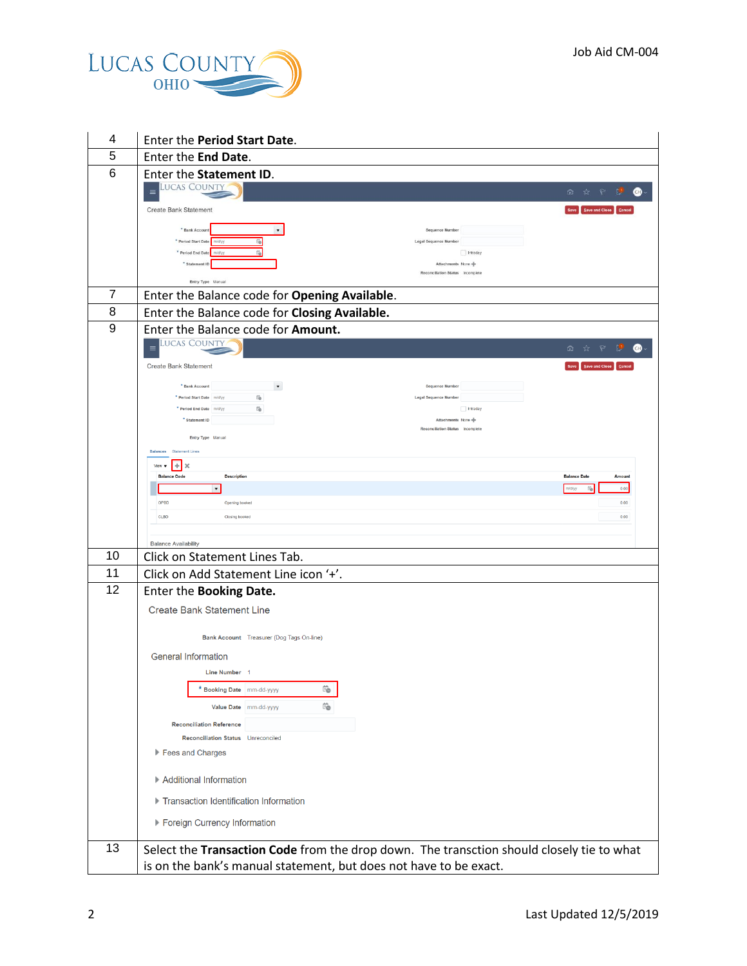

| 4              | Enter the Period Start Date.                                                                |                                    |  |
|----------------|---------------------------------------------------------------------------------------------|------------------------------------|--|
| 5              | Enter the End Date.                                                                         |                                    |  |
| 6              | Enter the Statement ID.                                                                     |                                    |  |
|                | <b>LUCAS COUNTY</b>                                                                         | P U<br>$\mathbf \Theta$<br>m.<br>☆ |  |
|                | <b>Create Bank Statement</b>                                                                | Save Save and Close                |  |
|                | $_{\rm \star}$<br>* Bank Accoun                                                             | <b>Sequence Number</b>             |  |
|                | űò.<br>* Period Start Date<br>n/d/vy<br>* Period End Date<br>få<br>mid/v                    | Legal Sequence Number<br>Intraday  |  |
|                | * Statement ID                                                                              | Attachments None                   |  |
|                | Entry Type Manual                                                                           | Reconciliation Status Incomplete   |  |
| $\overline{7}$ | Enter the Balance code for Opening Available.                                               |                                    |  |
| 8              | Enter the Balance code for Closing Available.                                               |                                    |  |
| 9              | Enter the Balance code for Amount.                                                          |                                    |  |
|                | <b>LUCAS COUNTY</b><br>$\equiv$                                                             | D.<br>⋒                            |  |
|                | <b>Create Bank Statement</b>                                                                | Save   Save and Close   Cance      |  |
|                | $\overline{\phantom{a}}$<br>* Bank Account                                                  | Sequence Number                    |  |
|                | ïò<br>* Period Start Date mid/yy<br>* Period End Date mid/yy<br>Ġ.                          | Legal Sequence Number<br>Intraday  |  |
|                | * Statement ID                                                                              | Attachments None                   |  |
|                | Entry Type Manual                                                                           | Reconciliation Status Incomplete   |  |
|                | <b>Statement Lines</b><br><b>Balances</b>                                                   |                                    |  |
|                | $\pm$<br>$\times$<br>View $\blacktriangledown$<br><b>Balance Code</b><br><b>Description</b> | <b>Balance Date</b><br>Amount      |  |
|                | $\blacktriangledown$                                                                        | 0.00<br>n/d/yy                     |  |
|                | OPBD<br>Opening booked                                                                      | 0.00                               |  |
|                | CLBD<br>Closing booked                                                                      | 0.00                               |  |
|                | <b>Balance Availability</b>                                                                 |                                    |  |
| 10             | Click on Statement Lines Tab.                                                               |                                    |  |
| 11             | Click on Add Statement Line icon '+'.                                                       |                                    |  |
| 12             | Enter the Booking Date.                                                                     |                                    |  |
|                | <b>Create Bank Statement Line</b>                                                           |                                    |  |
|                | Bank Account Treasurer (Dog Tags On-line)                                                   |                                    |  |
|                |                                                                                             |                                    |  |
|                | <b>General Information</b><br>Line Number 1                                                 |                                    |  |
|                | Ïò<br>* Booking Date mm-dd-yyyy                                                             |                                    |  |
|                | Ïò<br>Value Date mm-dd-yyyy                                                                 |                                    |  |
|                | <b>Reconciliation Reference</b>                                                             |                                    |  |
|                | Reconciliation Status Unreconciled                                                          |                                    |  |
|                | Fees and Charges                                                                            |                                    |  |
|                | Additional Information                                                                      |                                    |  |
|                | ▶ Transaction Identification Information                                                    |                                    |  |
|                | ▶ Foreign Currency Information                                                              |                                    |  |
|                |                                                                                             |                                    |  |
| 13             | Select the Transaction Code from the drop down. The transction should closely tie to what   |                                    |  |
|                | is on the bank's manual statement, but does not have to be exact.                           |                                    |  |